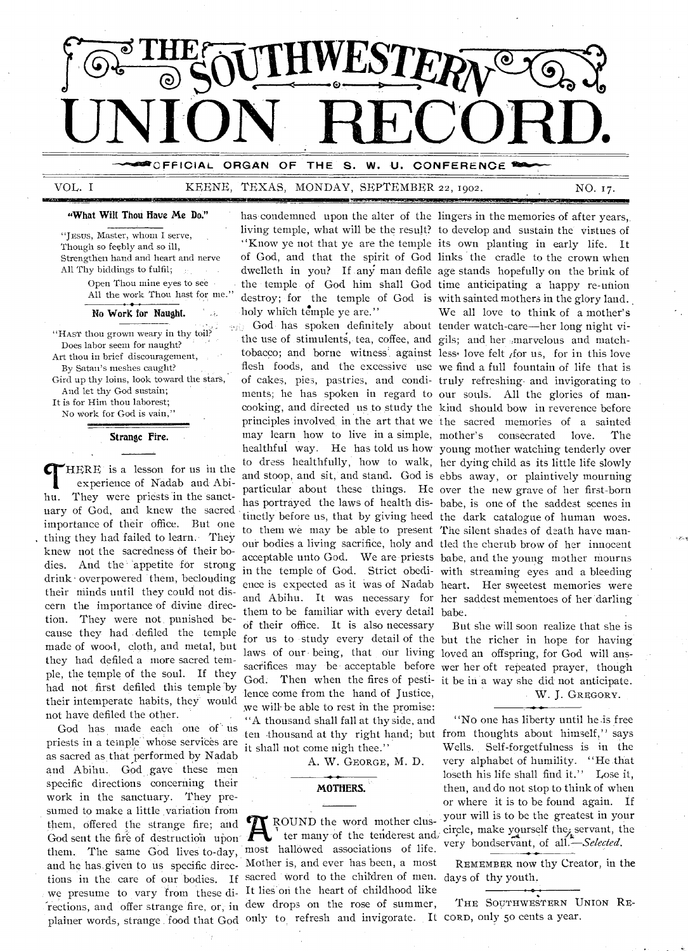

## VOL. I KEENE, TEXAS, MONDAY, SEPTEMBER 22, 1902. NO. 17.

#### "What Wilt Thou Have Me Do."

"JESUS, Master, whom I serve, Though so feebly and so ill, Strengthen hand and heart and nerve All Thy biddings to fulfil;  $\frac{1}{2}$ Open Thou mine eyes to see All the work Thou hast for me."

#### No Work for Naught.

"HAST thou grown weary in thy toil? Does labor seem for naught? Art thou in brief discouragement, By Satan's meshes caught? Gird up thy loins, look toward the stars, And let thy God sustain; It is for Him thou laborest;

No work for God is vain,"

Strange Fire.

**T** HERE is a lesson for us in the experience of Nadab and Abihu. They were priests in the sanctuary of God, and knew the sacred importance of their office. But one thing they had failed to learn. They knew not the sacredness of their bodies. And the appetite for strong drink - overpowered them, beclouding their minds until they could not discern the importance of divine direction. They were not, punished because they had defiled the temple made of wood, cloth, and metal, but they had defiled a more sacred temple, the temple of the soul. If they had not first defiled this temple "by their intemperate habits, they would not have defiled the other.

God has made each one of us priests in a temple whose services are as sacred as that performed by Nadab and Abihu. God gave these men specific directions concerning their work in the sanctuary. They presumed to make a little variation from them, offered the strange fire; and God sent the fire of destruction upon them. The same God lives to-day, and he has given to us specific direc-Mother is, and ever has been, a most tions in the care of our bodies. If sacred word to the children of men. days of thy youth. we presume to vary from these di- It lies on the heart of childhood like -rections, and offer strange fire, or, in dew drops on the rose of summer,

has condemned upon the alter of the lingers in the memories of after years, living temple, what will be the result? to develop and sustain the virtues of of God, and that the spirit of God links the cradle to the crown when dwelleth in you? If any man defile age stands hopefully on the brink of the temple of God him shall God time anticipating a happy re-union destroy; for the temple of God is with sainted mothers in the glory land. holy which temple ye are."

the use of stimulents, tea, coffee, and gils; and her .marvelous and matchtobacco; and borne witness against less, love felt for us, for in this love flesh foods, and the excessive use we find a full fountain of life that is of cakes, pies, pastries, and condi-truly refreshing and invigorating to ments; he has spoken in regard to our souls. All the glories of manmay learn how to live in a simple, to them we may be able to present The silent shades of death have manthem to be familiar with every detail babe. of their office. It is also necessary laws of our being, that our living loved an offspring, for God will anslence come from the hand of Justice, we will-be able to rest in the promise: "A thousand shall fall at thy side, and it shall not come nigh thee."

A. W. GEORGE, M. D.

#### MOTHERS.

plainer words, strange food that God only to refresh and invigorate. It CORD, only 50 cents a year. ROUND the word mother cluster many of the tenderest and, most hallowed associations of life.

"Know ye not that ye are the temple its own planting in early life. It We all love to think of a mother's

God has spoken definitely about tender watch-care—her long night vicooking, and directed us to study the kind should bow in reverence before principles involved in the art that we the sacred memories of a sainted healthful way. He has told us how young mother watching tenderly over to dress healthfully, how to walk, her dying child as its little life slowly and stoop, and sit, and stand. God is ebbs away, or plaintively mourning particular about these things. He over the new grave of her first-born has portrayed the laws of health dis-babe, is one of the saddest scenes in tinctly before us, that by giving heed the dark catalogue of human woes. our bodies a living sacrifice, holy and tled the cherub brow of her innocent acceptable unto God. We are priests babe, and the young mother mourns in the temple of God. Strict obedi-with streaming eyes and a bleeding ence is expected as it was of Nadab heart. Her sweetest memories were and Abihu. It was necessary for her saddest mementoes of her darling consecrated love. The

for us to study every detail of the but the richer in hope for having sacrifices may be acceptable before wer her oft repeated prayer, though God. Then when the fires of pesti-it be in a way she did not anticipate. But she will soon realize that she is W. J. GREGORY.

ten thousand at thy right hand; but from thoughts about himself," says "No one has liberty until he is free Wells. Self-forgetfulness is in the very alphabet of humility. "He .that loseth his life shall find it." Lose it, then, and do not stop to think of when or where it is to be found again. If your will is to be the greatest in your circle, make yourself the, servant, the very bondservant, of *all—Selected.* 

REMEMBER now thy Creator, in the

THE SOUTHWESTERN UNION RE-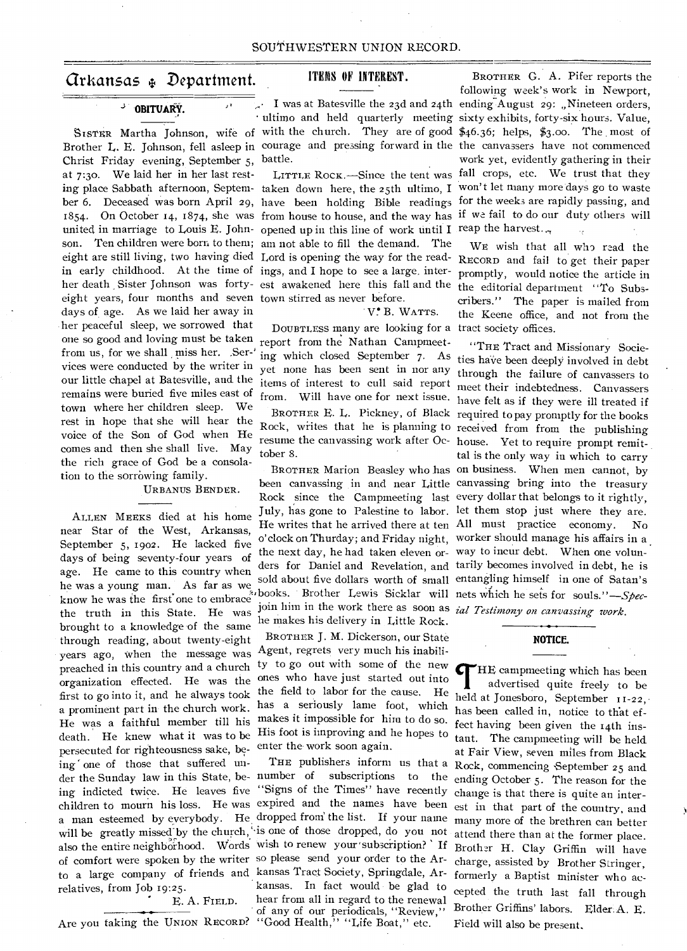## Arkansas Department.

## **OBITUARY.**

Christ Friday evening, September 5, battle. at 7:3o. We laid her in her last restunited in marriage to Louis E. John- opened up in this line of work until I reap the harvest... son. Ten children were born to them; am not able to fill the demand. The eight are still living, two having died Lord is opening the way for the readin early childhood. At the time of ings, and I hope to see a large, interher death Sister Johnson was forty- est awakened here this fall and the the editorial department "To Subseight years, four months and seven town stirred as never before. days of age. As we laid her away in her peaceful sleep, we sorrowed that one so good and loving must be taken from us, for we shall miss her. Ser-' vices were conducted by the writer in our little chapel at Batesville, and the remains were buried five miles east of town where her children sleep. We rest in hope that she will hear the voice of the Son of God when He comes and then she shall live. May the rich grace of God be a consolation to the sorrowing family.

#### URBANUS BENDER.

ALLEN MEEKS died at his home near Star of the West, Arkansas, September 5, 1902. He lacked five days of being seventy-four years of age. He came to this country when he was a young man. As far as we, know he was the first' one to embrace the truth in this State. He was brought to a knowledge of the same through reading, about twenty-eight years ago, when the message was preached in this country and a church organization effected. He was the first to go into it, and he always took a prominent part in the church work. He was a faithful member till his death. He knew what it was to be persecuted for righteousness sake, being one of those that suffered uning indicted twice. He leaves five "Signs of the Times" have recently change is that there is quite an interof comfort were spoken by the writer so please send your order to the Ar-charge, assisted by Brother Stringer, to a large company of friends and kansas Tract Society, Springdale, Arrelatives, from Job 19:25.

E. A. FIELD.

Are you taking the UNION RECORD?

## ITEMS OF INTEREST.

#### V. B. WATTS.

DOUBTLESS many are looking for a report from the Nathan Campmeeting which closed September 7. As yet none has been sent in nor any items of interest to cull said report from. Will have one for next issue. tober 8.

the next day, he had taken eleven or-way to incur debt. When one volunbooks. Brother Lewis Sicklar will nets which he sets for *souls."—Spec*join him in the work there as soon as *ial Testimony on canvassing work.*  he makes his delivery in Little Rock.

BROTHER J. M. Dickerson, our State Agent, regrets very much his inability to go out with some of the new ones who have just started out into the field to labor for the cause. He has a seriously lame foot, which makes it impossible for him to do so. His foot is improving and he hopes to enter the- work soon again.

kansas. In fact would be glad to hear from all in regard to the renewal of any of our periodicals, "Review," "Good Health," "Life Boat," etc.

SISTER Martha Johnson, wife of with the church. They are of good \$46.36; helps, \$3.00. The most of Brother L. E. Johnson, fell asleep in courage and pressing forward in the the canvassers have not commenced ing place Sabbath afternoon, Septem-taken down here, the 25th ultimo, I won't let many more days go to waste ber 6. Deceased was born April 29, have been holding Bible readings for the weeks are rapidly passing, and 1854. On October 14, 1874, she was from house to house, and the way has if we fail to do our duty others will I was at Batesville the 23d and 24th ending August 29: "Nineteen orders, • ultimo and held quarterly meeting sixty exhibits, forty-six hours. Value, LITTLE RocK.—Since the tent was fall crops, etc. We trust that they BROTHER G. A. Pifer reports the following week's work in Newport, work yet, evidently gathering in their

> WE wish that all who read the RECORD and fail to get their paper promptly, would notice the article in cribers." The paper is mailed from the Keene office, and not from the tract society offices.

BROTHER E. L. Pickney, of Black required to pay promptly for the books Rock, writes that he is planning to received from from the publishing resume the canvassing work after Oc-house. Yet to require prompt remit-BROTHER Marion Beasley who has on business. When men cannot, by been canvassing in and near Little canvassing bring into the treasury Rock since the Campmeeting last every dollar that belongs to it rightly, July, has gone to Palestine to labor. let them stop just where they are. He writes that he arrived there at ten All must practice economy. No o'clock on Thurday; and Friday night, worker should manage his affairs in a ders for Daniel and Revelation, and tarily becomes involved in debt, he is sold about five dollars worth of small entangling himself in one of Satan's "THE Tract and Missionary Societies have been deeply involved in debt through the failure of canvassers to meet their indebtedness. Canvassers have felt as if they were ill treated if tal is the only way in which to carry

#### **NOTICE.**

der the Sunday law in this State, be- number of subscriptions to the ending October 5. The reason for the children to mourn his loss. He was expired and the names have been est in that part of the country, and a man esteemed by everybody. He dropped from the list. If your name many more of the brethren can better will be greatly missed by the church, is one of those dropped, do you not attend there than at the former place. also the entire neighborhood. Words wish to renew your subscription? If Brother H. Clay Griffin will have THE publishers inform us that a Rock, commencing September 25 and *Cr*HE campmeeting which has been advertised quite freely to be held at Jonesboro, September 11-22, has been called in, notice to that effect having been given the 14th instant. The campmeeting will be held at Fair View, seven miles from Black formerly a Baptist minister who accepted the truth last fall through Brother Griffins' labors. Elder.A. E. Field will also be present,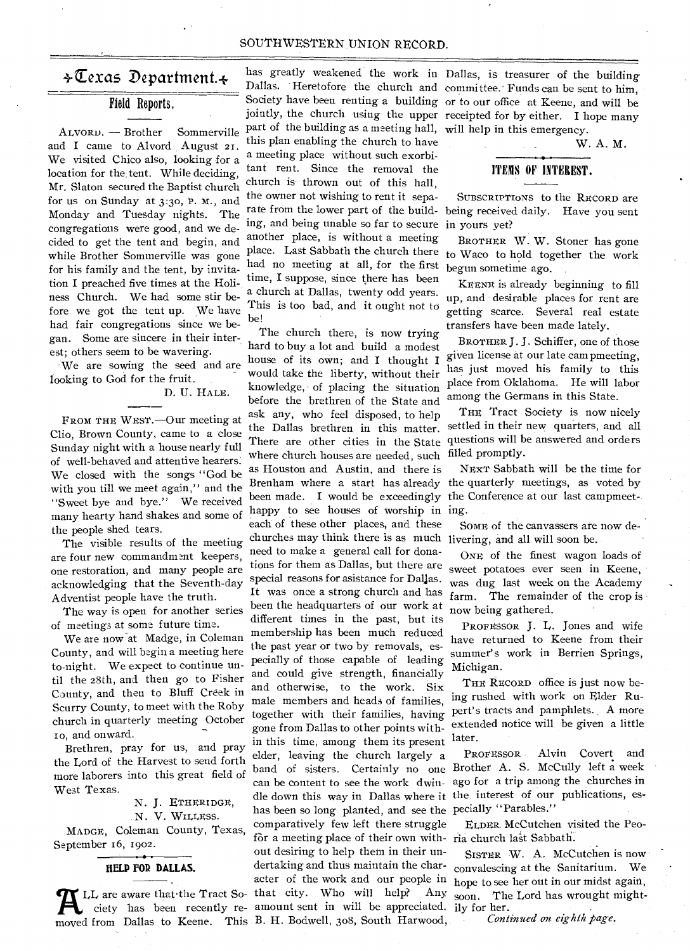#### SOUTHWESTERN UNION RECORD.

## $\div \overline{\mathbb{C}}$ exas Department. $\div$

## Field Reports.

ALVORD. — Brother Sommerville and I came to Alvord August **21.**  We visited Chico also, looking for a location for the, tent. While deciding, Mr. Slaton secured the Baptist church for us on Sunday at 3:30, P. M., and Monday and Tuesday nights. The congregations were good, and we decided to get the tent and begin, and while Brother Sommerville was gone for his family and the tent, by invitation I preached five times at the Holiness Church. We had some stir before we got the tent up. We have had fair congregations since we began. Some are sincere in their interest; others seem to be wavering.

We are sowing the seed and are looking to God for the fruit.

D. U. HALE.

FROM THE WEST.—Our meeting at Clio, Brown County, came to a close Sunday night with a house nearly full of well-behaved and attentive hearers. We closed with the songs "God be with you till we meet again," and the "Sweet bye and bye." We received many hearty hand shakes and some of the people shed tears.

The visible results of the meeting are four new commandment keepers, one restoration, and many people are acknowledging that the Seventh-day Adventist people have the truth.

The way is open for another series of meetings at some future time.

We are now-at Madge, in Coleman County, and will begin a meeting here to-night. We expect to continue until the 28th, and then go to Fisher County, and then to Bluff Creek in Scurry County, to meet with the Roby church in quarterly meeting October ro, and onward.

Brethren, pray for us, and pray the Lord of the Harvest to send forth more laborers into this great field of West Texas.

N. J. ETHERIDGE, N. V. WILLEss. MADGE, Coleman County, Texas, September 16, 1902.

## HELP FOR DALLAS.

A LL are aware that the Tract So- that city. Who will help? Any ciety has been recently re- amount sent in will be appreciated.<br>moved from Dallas to Keene. This B. H. Bodwell, 308, South Harwood,

has greatly weakened the work in Dallas, is treasurer of the building part of the building as a meeting hall, will help in this emergency. this plan enabling the church to have a meeting place without such exorbitant rent. Since the removal the church is thrown out of this hall, the owner not wishing to rent it separate from the lower part of the building, and being unable so far to secure in yours yet? another place, is without a meeting place. Last Sabbath the church there had no meeting at all, for the first time, I suppose, since there has been a church at Dallas, twenty odd years. This is too bad, and it ought not to he!

LL are aware that the Tract So- that city. Who will help? Any ciety has been recently re-amount sent in will be appreciated. The church there, is now trying hard to buy a lot and build a modest house of its own; and I thought I would take the liberty, without their knowledge, of placing the situation before the brethren of the State and ask any, who feel disposed, to help the Dallas brethren in this matter. There are other cities in the State where church houses are needed, such as Houston and Austin, and there is Brenham where a start has already been made. I would be exceedingly the Conference at our last campmeethappy to see houses of worship in ing. each of these other places, and these churches may think there is as much livering, and all will soon be. need to make a general call for donations for them as Dallas, but there are special reasons for asistance for Dallas. It was once a strong church and has been the headquarters of our work at different times in the past, but its membership has been much reduced the past year or two by removals, especially of those capable of leading and could give strength, financially and otherwise, to the work. Six male members and heads of families, together with their families, having gone from Dallas to other points within this time, among them its present elder, leaving the church largely a can be content to see the work dwinhas been so long planted, and see the pecially "Parables." comparatively few left there struggle for a meeting place of their own with-ria church last Sabbath. out desiring to help them in their undertaking and thus maintain the char-

Dallas. Heretofore the church and committee. Funds can be sent to him, Society have been renting a building or to our office at Keene, and will be jointly, the church using the upper receipted for by either. I hope many

W. A. M.

## ITEMS OF INTEREST.

SUBSCRIPTIONS to the RECORD are being received daily. Have you sent

BROTHER W. W. Stoner has gone to Waco to hold together the work begun sometime ago.

KEENE is already beginning to fill up, and desirable places for rent are getting scarce. Several real estate transfers have been made lately.

BROTHER J. J. Schiffer, one of those given license at our late cam pmeeting, has just moved his family to this place from Oklahoma. He will labor among the Germans in this State.

THE Tract Society is now nicely settled in their new quarters, and all questions will be answered and orders filled promptly.

NEXT Sabbath will be the time for the quarterly meetings, as voted by

SOME of the canvassers are now de-

ONE of the finest wagon loads of sweet potatoes ever seen in Keene, was dug last week on the Academy farm. The remainder of the crop is now being gathered.

PROFESSOR J. L. Jones and wife have returned to Keene from their summer's work in Berrien Springs, Michigan.

THE RECORD office is just now being rushed with work on Elder Rupert's tracts and pamphlets. A more extended notice will be given a little later.

band of sisters. Certainly no one Brother A. S. McCully left a week dle down this way in Dallas where it the interest of our publications, es-PROFESSOR Alvin Covert and ago for a trip among the churches in

ELDER. McCutchen visited the Peo-

acter of the work and our people in hope to see her out in our midst again, SISTER W. A. McCutchen is now convalescing at the Sanitarium. We soon. The Lord has wrought mightily for her.

*Continued on eighth page.*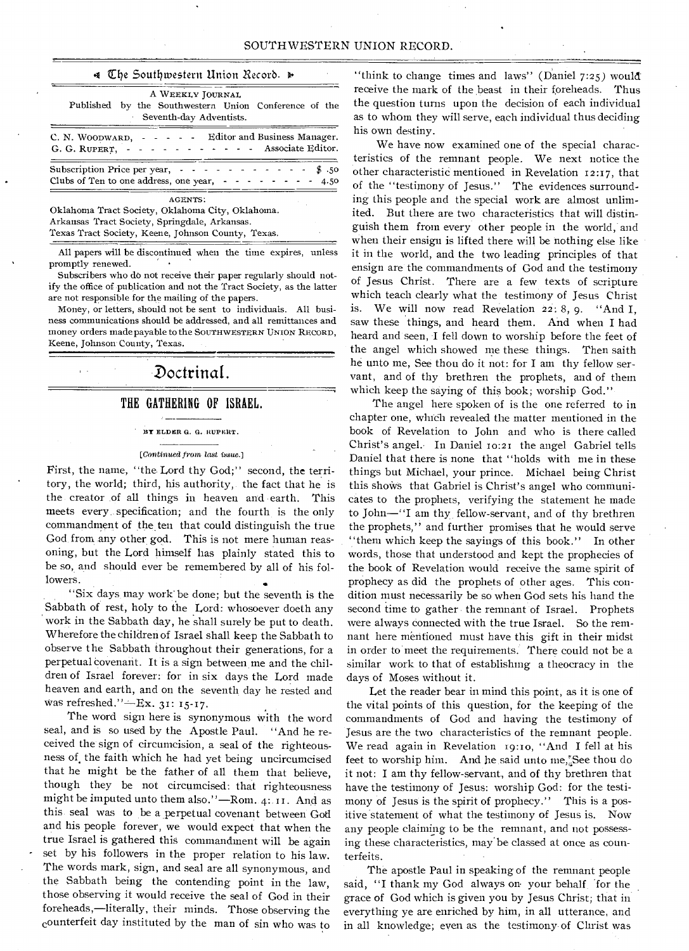#### $\triangleleft$  The Southwestern Union Record.  $\triangleright$

| A WEEKLY JOURNAL<br>Published by the Southwestern Union Conference of the<br>Seventh-day Adventists.                                                                         |
|------------------------------------------------------------------------------------------------------------------------------------------------------------------------------|
| C. N. WOODWARD, - - - - - Editor and Business Manager.<br>G. G. RUPERT, - - - - - - - - - - - Associate Editor.                                                              |
| Subscription Price per year, $\cdot \cdot \cdot \cdot \cdot \cdot$<br>\$.50<br>Clubs of Ten to one address, one year, $\cdot \cdot \cdot \cdot \cdot \cdot \cdot \cdot 4.50$ |
| AGENTS:<br>Oklahoma Tract Society, Oklahoma City, Oklahoma.<br>Arkansas Tract Society, Springdale, Arkansas.                                                                 |

Texas Tract Society, Keene, Johnson County, Texas

All papers will be discontinued when the time expires, unless promptly renewed.

Subscribers who do not receive their paper regularly should notify the office of publication and not the Tract Society, as the latter are not responsible for the mailing of the papers.

Money, or letters, should not be sent to individuals. All business communications should be addressed, and all remittances and money orders made payable to the SOUTHWESTERN UNION RECORD, Keene, Johnson County, Texas.

## Doctrinal.

#### THE GATHERING OF ISRAEL.

#### 33Y ELDER G. G. RUPERT.

#### *[Continued from last issue.]*

First, the name, "the Lord thy God;" second, the territory, the world; third, his authority, the fact that he is the creator of all things in heaven and earth. This meets every specification; and the fourth is the only commandment of the ten that could distinguish the true God, from any other god. This is not mere human reasoning, but the Lord himself has plainly stated this to be so, and should ever be remembered by all of his followers.

"Six days may work' be done; but the seventh is the Sabbath of rest, holy to the Lord: whosoever doeth any work in the Sabbath day, he shall surely be put to death. Wherefore the children of Israel shall keep the Sabbath to observe the Sabbath throughout their generations, for a perpetual covenant. It is a sign between me and the children of Israel forever: for in six days the Lord made heaven and earth, and on the seventh day he rested and was refreshed." - Ex. 31: 15-17.

The word sign here is synonymous with the word seal, and is so used by the Apostle Paul. "And he received the sign of circumcision, a seal of the righteousness of, the faith which he had yet being uncircumcised that he might be the father of all them that believe, though they be not circumcised: that righteousness might be imputed unto them also."—Rom. 4: And as this seal was to be a perpetual covenant between God and his people forever, we would expect that when the true Israel is gathered this commandment will be again set by his followers in the proper relation to his law. The words mark, sign, and seal are all synonymous, and the Sabbath being the contending point in the law, those observing it would receive the seal of God in their foreheads,—literally, their minds. Those observing the counterfeit day instituted by the man of sin who was to

"think to change times and laws" (Daniel 7:25) would receive the mark of the beast in their foreheads. Thus the question turns upon the decision of each individual as to whom they will serve, each individual thus deciding his own destiny.

We have now examined one of the special characteristics of the remnant people. We next notice the other characteristic mentioned in Revelation 12:17, that of the "testimony of Jesus." The evidences surrounding this people and the special work are almost unlimited. But there are two characteristics that will distinguish them from every other people in the world, and when their ensign is lifted there will be nothing else like it in the world, and the two leading principles of that ensign are the commandments of God and the testimony of Jesus Christ. There are a few texts of scripture which teach clearly what the testimony of Jesus Christ is. We will now read Revelation 22: 8, 9. "And I, saw these things, and heard them. And when I had heard and seen, I fell down to worship before the feet of the angel which showed me these things. Then saith he unto me, See thou do it not: for I am thy fellow servant, and of thy brethren the prophets, and of them which keep the saying of this book; worship God."

The angel here spoken of is the one referred to in chapter one, winch revealed the matter mentioned in the book of Revelation to John and who is there called Christ's angel. In Daniel 10:21 the angel Gabriel tells Daniel that there is none that "holds with me in these things but Michael, your prince. Michael being Christ this shows that Gabriel is Christ's angel who communicates to the prophets, verifying the statement he made to John—"I am thy fellow-servant, and of thy brethren the prophets," and further promises that he would serve "them which keep the sayings of this book." In other words, those that understood and kept the prophecies of the book of Revelation would receive the same spirit of prophecy as did the prophets of other ages. This condition must necessarily be so when God sets his hand the second time to gather the remnant of Israel. Prophets were always connected with the true Israel. So the remnant here mentioned must have this gift in their midst in order to meet the requirements. There could not be a similar work to that of establishing a theocracy in the days of Moses without it.

Let the reader bear in mind this point, as it is one of the vital points of this question, for the keeping of the commandments of God and having the testimony of Jesus are the two characteristics of the remnant people. We read again in Revelation 19:10, "And I fell at his feet to worship him. And he said unto me, See thou do it not: I am thy fellow-servant., and of thy brethren that have the testimony of Jesus: worship God: for the testimony of Jesus is the spirit of prophecy." This is a positive statement of what the testimony of Jesus is. Now any people claiming to be the remnant, and not possessing these characteristics, may be classed at once as counterfeits.

The apostle Paul in speaking of the remnant people said, "I thank my God always on your behalf for the grace of God which is given you by Jesus Christ; that in everything ye are enriched by him, in all utterance, and in all knowledge; even as the testimony of Christ was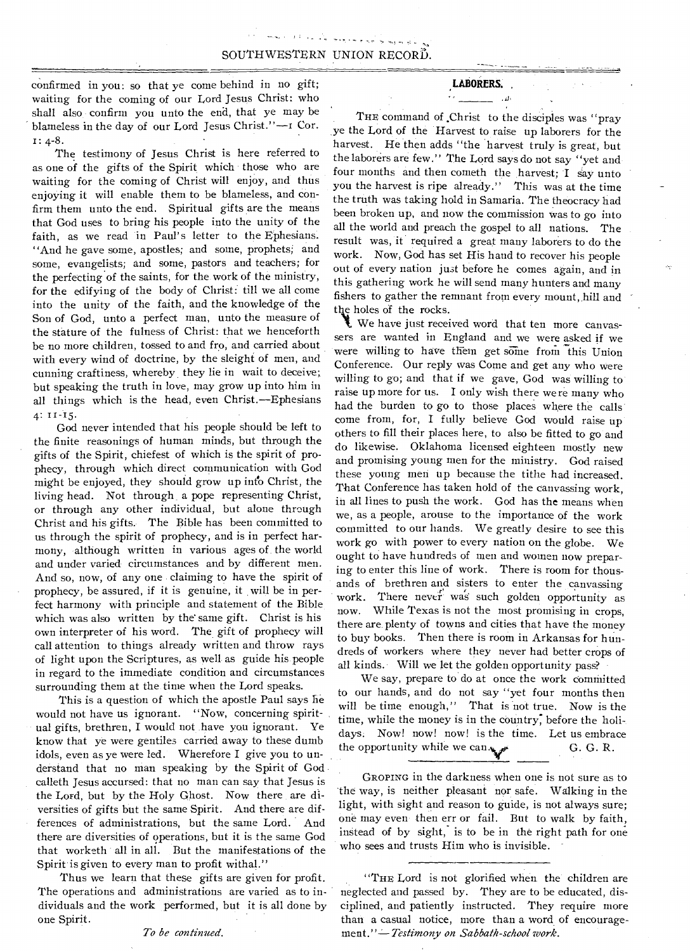confirmed in you: so that ye come behind in no gift; waiting for the coming of our Lord Jesus Christ: who shall also confirm you unto the end, that ye may be blameless in the day of our Lord Jesus Christ."—i Cor. I: 4-8.

The testimony of Jesus Christ is here referred to as one of the gifts of the Spirit which those who are waiting for the coming of Christ will enjoy, and thus enjoying it will enable them to be blameless, and confirm them unto the end. Spiritual gifts are the means that God uses to bring his people into the unity of the faith, as we read in Paul's letter to the Ephesians. "And he gave some, apostles; and some, prophets; and some, evangelists; and some, pastors and teachers; for the perfecting of the saints, for the work of the ministry, for the edifying of the body of Christ: till we all come into the unity of the faith, and the knowledge of the Son of God, unto a perfect man, unto the measure of the stature of the fulness of Christ: that we henceforth be no more children, tossed to and fro, and carried about with every wind of doctrine, by the sleight of men, and cunning craftiness, whereby, they lie in wait to deceive; but speaking the truth in love, may grow up into him in all things which is the head, even Christ.—Ephesians 4: 11-15.

God never intended that his people should be left to the finite reasonings of human minds, but through the gifts of the Spirit, chiefest of which is the spirit of prophecy, through which direct communication with God might be enjoyed, they should grow up into Christ, the living head. Not through a pope representing Christ, or through any other individual, but alone through Christ and his gifts. The Bible has been committed to us through the spirit of prophecy, and is in perfect harmony, although written in various ages of the world and under varied circumstances and by different men. And so, now, of any one claiming to have the spirit of prophecy, be assured, if it is genuine, it will be in perfect harmony with principle and statement of the Bible which was also written by the same gift. Christ is his own interpreter of his word. The gift of prophecy will call attention to things already written and throw rays of light upon the Scriptures, as well as guide his people in regard to the immediate condition and circumstances surrounding them at the time when the Lord speaks.

This is a question of which the apostle Paul says he would not have us ignorant. "Now, concerning spiritual gifts, brethren, I would not have you ignorant. Ye know that ye were gentiles carried away to these dumb idols, even as ye were led. Wherefore I give you to understand that no man speaking by the Spirit of God calleth Jesus accursed: that no man can say that Jesus is the Lord, but by the Holy Ghost. Now there are diversities of gifts but the same Spirit. And there are differences of administrations, but the same Lord. And there are diversities of operations, but it is the same God that worketh all in all. But the manifestations of the Spirit is given to every man to profit withal."

Thus we learn that these gifts are given for profit. The operations and administrations are varied as to individuals and the work performed, but it is all done by one Spirit.

*To be continued.* 

#### LABORERS.

#### $\mathcal{L}^{\mathcal{A}}$  and  $\mathcal{L}^{\mathcal{A}}$  and  $\mathcal{L}^{\mathcal{A}}$

THE command of Christ to the disciples was "pray ye the Lord of the Harvest to raise up laborers for the harvest. He then adds "the harvest truly is great, but the laborers are few." The Lord says do not say "yet and four months and then cometh the harvest; I say unto you the harvest is ripe already." This was at the time the truth was taking hold in Samaria. The theocracy had been broken up, and now the commission was to go into all the world and preach the gospel to all nations. The result was, it required a great many laborers to do the work. Now, God has set His hand to recover his people out of every nation just before he comes again, and in this gathering work he will send many hunters and many fishers to gather the remnant from every mount, hill and the holes of the rocks.

We have just received word that ten more canvassers are wanted in England and we were asked if we were willing to have them get some from this Union Conference. Our reply was Come and get any who were willing to go; and that if we gave, God was willing to raise up more for us. I only wish there were many who had the burden to go to those places where the calls come from, for, I fully believe God would raise up others to fill their places here, to also be fitted to go and do likewise. Oklahoma licensed eighteen mostly new and promising young men for the ministry. God raised these young men up because the tithe had increased. That Conference has taken hold of the canvassing work, in all lines to push the work. God has the means when we, as a people, arouse to the importance of the work committed to our hands. We greatly desire to see this work go with power to every nation on the globe. We ought to have hundreds of men and women now preparing to enter this line of work. There is room for thousands of brethren and sisters to enter the canvassing work. There never was such golden opportunity as now. While Texas is not the most promising in crops, there are plenty of towns and cities that have the money to buy books. Then there is room in Arkansas for hundreds of workers where they never had better crops of all kinds. Will we let the golden opportunity pass?

We say, prepare to do at once the work committed to our hands, and do not say "yet four months then will be time enough," That is not true. Now is the time, while the money is in the country; before the holidays. Now! now! now! is the time. Let us embrace the opportunity while we can.y G. G. R.

GROPING in the darkness when one is not sure as to the way, is neither pleasant nor safe. Walking in the light, with sight and reason to guide, is not always sure; one may even then err or fail. But to walk by faith, instead of by sight, is to be in the right path for one who sees and trusts Him who is invisible. -

"THE Lord is not glorified when the children are neglected and passed by. They are to be educated, disciplined, and patiently instructed. They require more than a casual notice, more than a word of encourage*ment."--Testimony on Sabbath-school work.*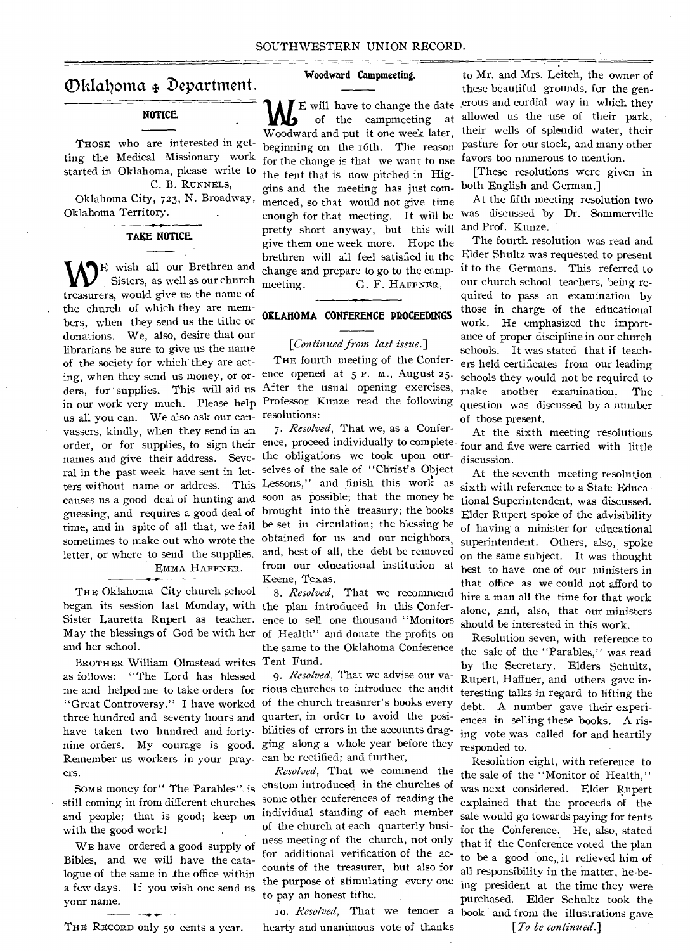## Okfalloma 4. Department.

## **NOTICE.**

THOSE who are interested in getting the Medical Missionary work started in Oklahoma, please write to C. B. RUNNELS,

Oklahoma City, 723, N. Broadway, Oklahoma Territory. •

## **TAKE NOTICE.**

**WE** wish all our Brethren and<br>treasurers, would give us the name of E wish all our Brethren and Sisters, as well as our church the church of which they are members, when they send us the tithe or donations. We, also, desire that our librarians be sure to give us the name of the society for which they are acting, when they send us money, or or-ence opened at 5 P. M., August 25. ders, for supplies. This will aid us After the usual opening exercises, in our work very much. Please help Professor Kunze read the following us all you can. We also ask our can-resolutions: vassers, kindly, when they send in an names and give their address. Seve- the obligations we took upon oursometimes to make out who wrote the obtained for us and our neighbors, EMMA HAFFNER.

THE Oklahoma City church school and her school.

BROTHER William Olmstead writes Tent Fund. as follows: "The Lord has blessed Remember us workers in your pray-can be rectified; and further, ers.

SOME money for" The Parables" is still coming in from different churches with the good work!

WE have ordered a good supply of Bibles, and we will have the catalogue of the same in the office within a few days. If you wish one send us your name.

#### **Woodward Campmeeting.**

**1** E will have to change the date erous and cordial way in which they of the campmeeting at allowed us the use of their park, of the campmeeting at Woodward and put it one week later, beginning on the i6th. The reason for the change is that we want to use the tent that is now pitched in Higgins and the meeting has just commenced, so that would not give time enough for that meeting. It will be pretty short anyway, but this will give them one week more. Hope the meeting. **G. F. HAFFNER**,

## **OKLAHOMA CONFERENCE PROCEEDINGS**

#### *[Continued from last issue.]*

THE fourth meeting of the Confer-

ral in the past week have sent in let- selves of the sale of "Christ's Object ters without name or address. This Lessons," and finish this work as causes us a good deal of hunting and soon as possible; that the money be guessing, and requires a good deal of brought into the treasury; the books time, and in spite of all that, we fail be set in circulation; the blessing be letter, or where to send the supplies. and, best of all, the debt be removed *7. Resolved,* That we, as a Conferfrom our educational institution at Keene, Texas.

began its session last Monday, with the plan introduced in this Confer-Sister Lauretta Rupert as teacher. ence to sell one thousand "Monitors May the blessings of God be with her of Health" and donate the profits on *8. Resolved,* That we recommend the same to the Oklahoma Conference

me and helped me to take orders for rious churches to introduce the audit "Great Controversy." I have worked of the church treasurer's books every three hundred and seventy hours and quarter, in order to avoid the posihave taken two hundred and forty-bilities of errors in the accounts dragnine orders. My courage is good. ging along a whole year before they g. *Resolved,* That we advise our va-

and people; that is good; keep on individual standing of each member *Resolved,* That we commend the custom introduced in the churches of some other ccnferences of reading the of the church at each quarterly business meeting of the church, not only for additional verification of the accounts of the treasurer, but also for the purpose of stimulating every one to pay an honest tithe.

to. *Resolved,* That we tender a THE RECORD only 50 cents a year. hearty and unanimous vote of thanks *[To be continued.]* 

to Mr. and Mrs. Leitch, the owner of these beautiful grounds, for the gen allowed us the use of their park, their wells of splendid water, their pasture for our stock, and many other favors too nnmerous to mention.

[These resolutions were given in both English and German.]

At the fifth meeting resolution two was discussed by Dr. Sommerville and Prof. Kunze.

brethren will all feel satisfied in the Elder Shultz was requested to present change and prepare to go to the camp-it to the Germans. This referred to The fourth resolution was read and our church school teachers, being required to pass an examination by those in charge of the educational work. He emphasized the importance of proper discipline in our church schools. It was stated that if teachers held certificates from our leading schools they would not be required to make another examination. The question was discussed by a number of those present.

order, or for supplies, to sign their ence, proceed individually to complete four and five were carried with little At the sixth meeting resolutions discussion.

> At the seventh meeting resolution sixth with reference to a State Educational Superintendent, was discussed. Elder Rupert spoke of the advisibility of having a minister for educational superintendent. Others, also, spoke on the same subject. It was thought best to have one of our ministers in that office as we could not afford to hire a man all the time for that work alone, and, also, that our ministers should be interested in this work.

> Resolution seven, with reference to the sale of the "Parables," was read by the Secretary. Elders Schultz, Rupert, Haffner, and others gave interesting talks in regard to lifting the debt. A number gave their experiences in selling these books. A rising vote was called for and heartily responded to.

> Resolution eight, with reference to the sale of the "Monitor of Health," was next considered. Elder Rupert explained that the proceeds of the sale would go towards paying for tents for the Conference. He, also, stated that if the Conference voted the plan to be a good one,, it relieved him of all responsibility in the matter, he being president at the time they were purchased. Elder Schultz took the book and from the illustrations gave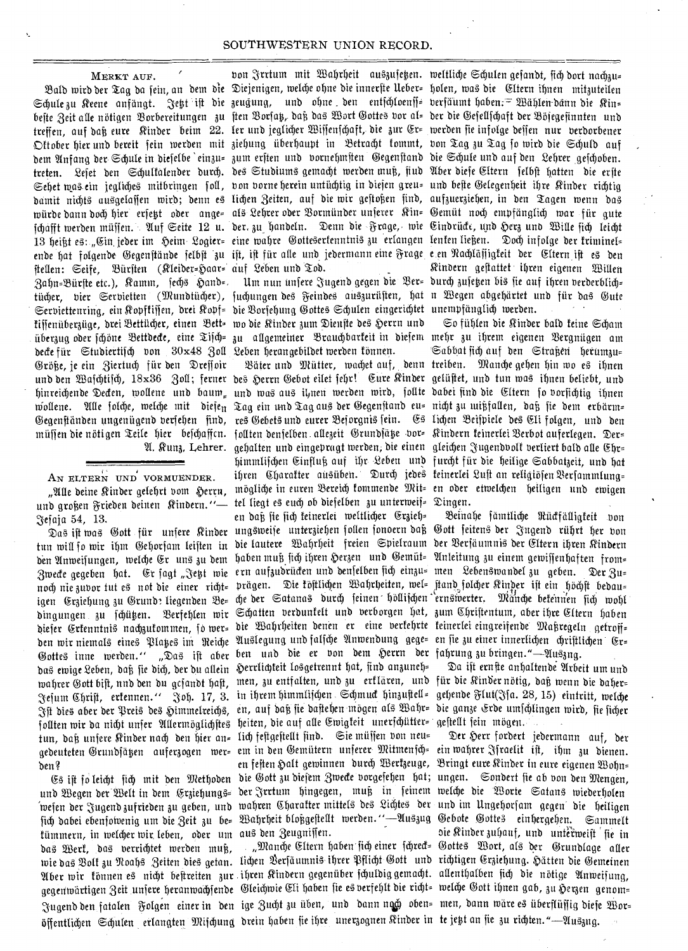#### MERKT AUF.

Schule zu Keene anfängt. Jett ift die zeugung, und ohne den entichloenff= verfäumt haben. $= \mathfrak{W}$ ählen dänn die Kin= befte Zeit alle nötigen Borbereitungen zu ften Borfay, daß das Wort Gottes vor al= der die Gefellfchaft der Böjegefinnten und treffen, auf daß eure Kinder beim 22. ler und jeglicher Wiffenfchaft, die zur Er= werden fie infolge deffen nur berdorbener Oftober hier und bereit fein werden mit ziehung überhaupt in Betracht fommt, von Tag zu Tag fo wird die Schuld auf bem Anfang ber Schule in biefelbe `einzu= zum erften und vornehmsten Gegenftand bie Schule und auf den Lehrer gefchoben. treten. Lefet den Schulfalender durch. des Studiums gemacht werden muß, fiud Aber diefe Eltern felbft hatten die erfte Sehet mas ein jegliches mitbringen foll, von vorne herein untüchtig in diefen greu= und befte Gelegenheit ihre Rinder richtig damit nichts ausgelaffen wird; denn es lichen Zeiten, auf die wir geftoßen find, aufzuerziehen, in den Tagen wenn das würde dann doch hier erfett oder ange= als Lehrer oder Bormünder unferer Kin= Gemüt noch empfänglich war für gute jchafft werden müffen. Auf Seite 12 u. der. zu handeln. Denn die Frage, wie Eindrück, und Herz und Wille fich leicht 13 heißt es: "Ein jeder im Heim Logier= eine wahre Gottesertenntnis zu erlangen lenten ließen. Doch infolge der triminel= ende hat folgende Gegenftände felbft zu ift, ift für alle und jedermann eine Frage e en Rachläfligteit der Eltern ift es den Zahn=Bürfte etc.), Kamm, fech§ Hand=. Um nun unfere Jugend gegen die Ber= durch zufehen bis fie auf ihren verderblich= Serviettenring, ein Ropffiffen, drei Ropf= die Borfehung Gottes Schulen eingerichtet unempfänglich werden. Warden überzug oder fchöne Bettdecte, eine Tifch= zu allgemeiner Brauchbarteit in diefem mehr zu ihrem eigenen Bergnügen am ftellen: Seife, Bürsten (Kleider=Haar= auf Leben und Tod. tijjenüberzüge, drei Bettücher, einen Bett= wo die Kinder zum Dienfte des Herrn und belle fiir Stubiertitd) bon 30x48 3ott 2eben berangebitbet merben tOnnet. je ein 3iertucb fur ben Zreffoir

#### AN ELTERN UND VORMUENDER.

efaja 54, 13.

das ewige Leben, daß fie dich, der du allein Herrlichteit losgetrennt hat, find anzuneh=

wie das Bolt zu Noahs-Zeiten dies getan. lichen Berfäumnis ihrer Pflicht Gott- und richtigen Erziehung. Hätten die Gemeinen Aber wir fönnen es nicht beftreiten zur ihren Rindern gegenüber fchuldig gemacht. allenthalben fich die nötige Anweifung, öffentlichen Schulen erlangten Mifchung drein haben fie ihre unerzognen Rinder in te jett an fie zu richten."—Uuszug. tümmern, in welcher wir leben, oder um aus den Zeugnissen. bas Werk, das verrichtet werden muß,

bon Frrtum mit Wahrheit auszufeken. weltliche Schulen gefandt, fich dort nachzu=

und den Wajchtijch, 18x36 Zoll; ferner des Herrn Gebot eilet fehr! Eure Rinder gelüßet, und tun was ihnen beliebt, und hinreichende Decten, wollene und baum<sub>=</sub> und was aus il<sub>j</sub>nen werden wird, follte dabei find die Eltern fo vorfichtig ihnen wollene. Alle folche, welche mit diefe<sub>n</sub> Tag ein und Tag aus der Gegenftand eu= nicht zu wißfallen, daß fie dem erbärm= müffen die nötigen Teile hier befchaffcn. follten denfelben allezeit Grundfäße bor= Kindern feinerlei Berbot auferlegen. Der=  $\Re$ unz, Lehrer. gehalten und eingepragt werden, die einen gleichen Jugendvolf verliert bald alle Ehr= und großen Frieden deinen Kindern."— tel liegt es euch ob diefelben zu unterweif= Dingen. ift was Gott für unfere Rinder ungsweife unterziehen follen fonoern daß Gott feitens der Jngend rührt her von tun will fo wir ihm Gehorfam leiften in die lautere Wahrheit freien Spielraum der Berfäumnis der Eltern ihren Rindern den Anweifungen, welche Er uns zu dem haben muß fich ihren Herzen und Gemüt= Anleitung zu einem gewiffenhaften from= Zwecte gegeben hat. Er fagt "Jetzt wie ern aufzudrücten und denfelben fich einzu= men Lebenswandel zu geben. Der Zu= noch nie zuvor tut es not die einer richt= prägen. Die föftlichen Wahrheiten, wel= ftand folcher Kinder ift ein höchft bedau= igen Erziehung zu Grunde liegenden Be= che der Satanas durch feinen höllifchen ernswerter. Mänche betennen fich wohl dingungen zu fchüken. Berfehlen wir Schatten verdunkelt und verborgen hat, zum Chriftentum, aber ihre Eltern haben biefer Ertenntnis nachzutommen, fo wer= die Wahrheiten denen er eine verfehrte feinerlei eingreifende Maßregeln getroff= ben wir niemals eines Playes im Reiche Auslegung und falfche Anwendung gege= en fie zu einer innerlichen chriftlichen Gottes inne werden.'' "Das ift aber ben und die er von dem Herrn der fahrung zu bringen."—Auszng. wahrer Gott bift, nnd den du gcjandt haft, men, zu entfalten, und zu erflären, und für die Rinder nötig, daß wenn die daher=  $\mathfrak{F}$ ejum Chrift, ertennen. $''$   $\mathfrak{F}$ oh. 17, 3. in ihrem himmlijchen Schmuct hinzuftell= gehende Flut(Ffa. 28, 15) eintritt, welche ft dies aber der Preis des Himmelreichs, en, auf daß fie dafteben mögen als Wahr= die ganze Erde umfchlingen wird, fie ficher follten wir da nicht unfer Allermöglichftes heiten, die auf alle Ewigfeit unerfchütter= geftellt fein mögen. gedeuteten Grundfäßen auferzogen wer= em in den Gemütern unferer Mitmenfch= ein wahrer Ffraelit ift, ihm zu dienen. 3ringt eure Rinber in eure eigenen TBorn= ben? en feften k)att geminnen burcb Uert3euge, Es ift fo leicht fich mit den Methoden die Gott zu diefem Zwecke vorgefehen hat; ungen. Sondert fie ab von den Mengen, und Begen der Welt in dem Erziehungs= der Jrrtum hingegen, muß in feinem welche die Worte Satans wiederholen wefen der Jugendzufrieden zu geben, und wahren Charafter mittels des Lichtes der und im Ungehorfam gegen die heiligen fich dabei ebenfoivenig um die Zeit zu be= Wahrheit bloßgeftellt werden.''—Uuszug Gebote Gottes einhergehen. Sammelt tun, bat unfere Rinber nad) ben bier an= lid) feftgefteat finb. Sie miiffen bon neu= en daß sie sich keinerlei weltlicher Erzieh=

8ald wird der Tag da fein, an dem die Diejenigen, welche ohne die innerfte Ueber= holen, was die Eltern ihnen mitzuteilen ginbern geffattet ibren eigenen Zlitten tücher, vier Servietten (Mundtücher), juchungen des Feindes auszurüften, hat n Wegen abgehärtet und für das Gute

So fiibten Die ginber bath teine Scbam Sabbat rid) auf ben Strat3en berum3u= treiben. Tian\* geben bin ma ibnen Zeiter nnb Mutter, roadyt auf, benn Gegenftänden ungenügend berfeben find, res Gebets und eurer Beforgnis fein. Gs lichen Beifpiele des Eli folgen, und den himmlifchen Einfluß auf ihr Leben und furcht für die heilige Sabbatzeit, und hat ihren Charafter ausüben. Durch jedes feinerlei Luft an religiöfen Verfammlung= "Alle deine Kinder gelehrt vom Herrn, mögliche in euren Bereich fommende Mit= en oder etwelchen heiligen und ewigen

Beinahe fämtliche Rückfälligkeit von

Da ist ernste anhaltende Arbeit um und

Der Herr fordert jedermann auf, der aie Rinber iubauf, unb unteitneift fie in "Manche Eltern haben sich einer schreck= Gottes Wort, als der Grundlage aller gegenwärtigen Zeit unjere heranwachjende Gleichwie Eli haben fie es verfehlt die richt= welche Gott ihnen gab, zu Herzen genom= Jugend den fatalen Folgen einer in den ige Zucht zu üben, und dann ng6 oben= men, dann wäre es überflüffig diefe Wor=